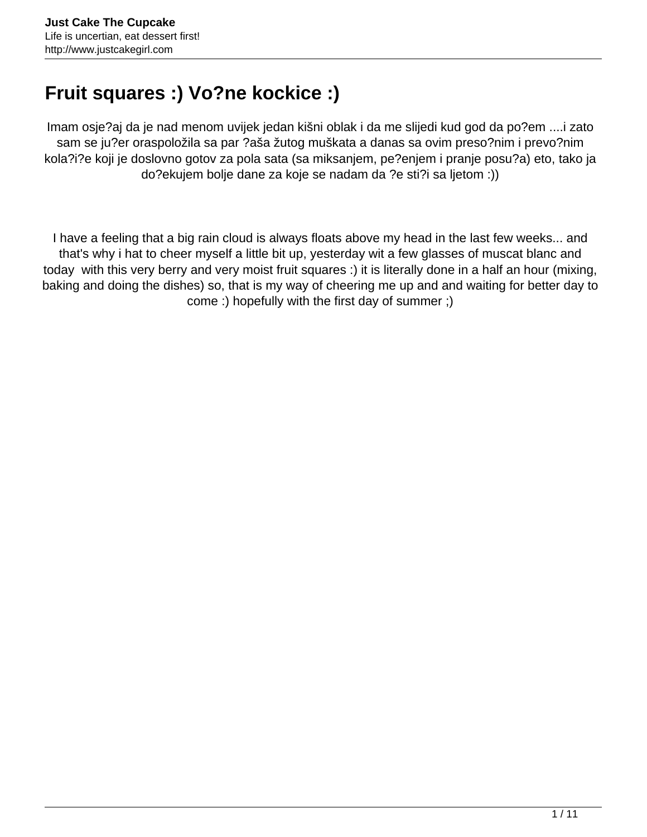# **Fruit squares :) Vo?ne kockice :)**

Imam osje?aj da je nad menom uvijek jedan kišni oblak i da me slijedi kud god da po?em ....i zato sam se ju?er oraspoložila sa par ?aša žutog muškata a danas sa ovim preso?nim i prevo?nim kola?i?e koji je doslovno gotov za pola sata (sa miksanjem, pe?enjem i pranje posu?a) eto, tako ja do?ekujem bolje dane za koje se nadam da ?e sti?i sa ljetom :))

I have a feeling that a big rain cloud is always floats above my head in the last few weeks... and that's why i hat to cheer myself a little bit up, yesterday wit a few glasses of muscat blanc and today with this very berry and very moist fruit squares :) it is literally done in a half an hour (mixing, baking and doing the dishes) so, that is my way of cheering me up and and waiting for better day to come :) hopefully with the first day of summer ;)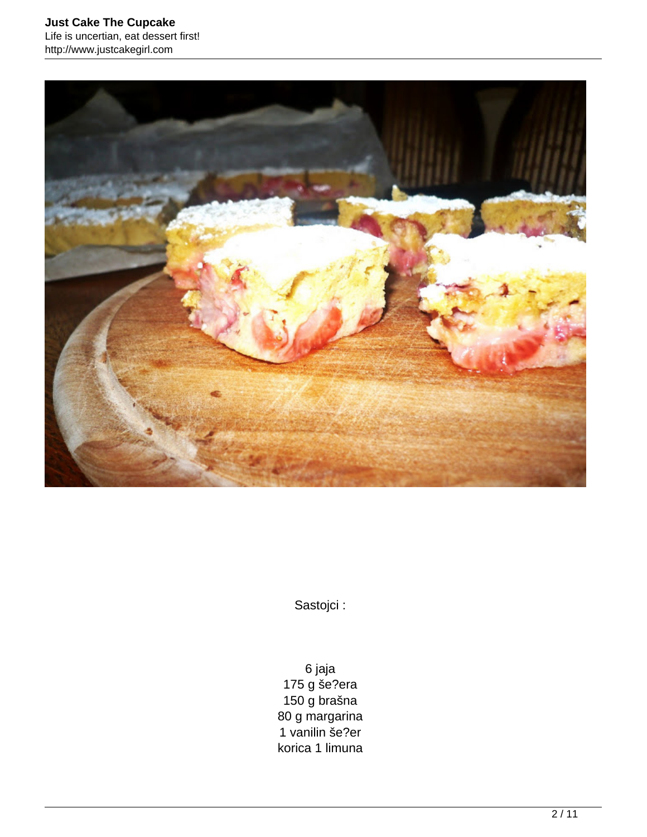

Sastojci :

6 jaja 175 g še?era 150 g brašna 80 g margarina 1 vanilin še?er korica 1 limuna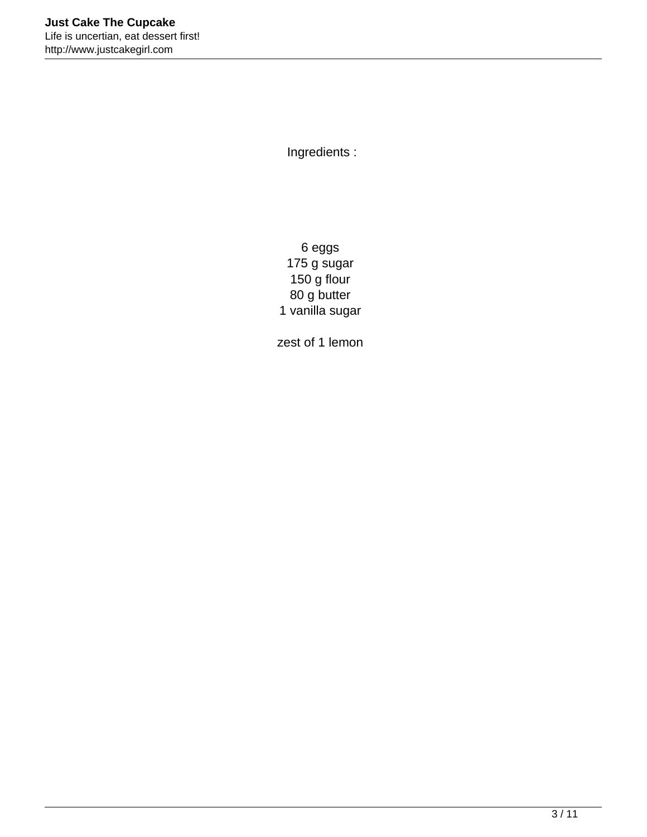Ingredients :

6 eggs 175 g sugar 150 g flour 80 g butter 1 vanilla sugar

zest of 1 lemon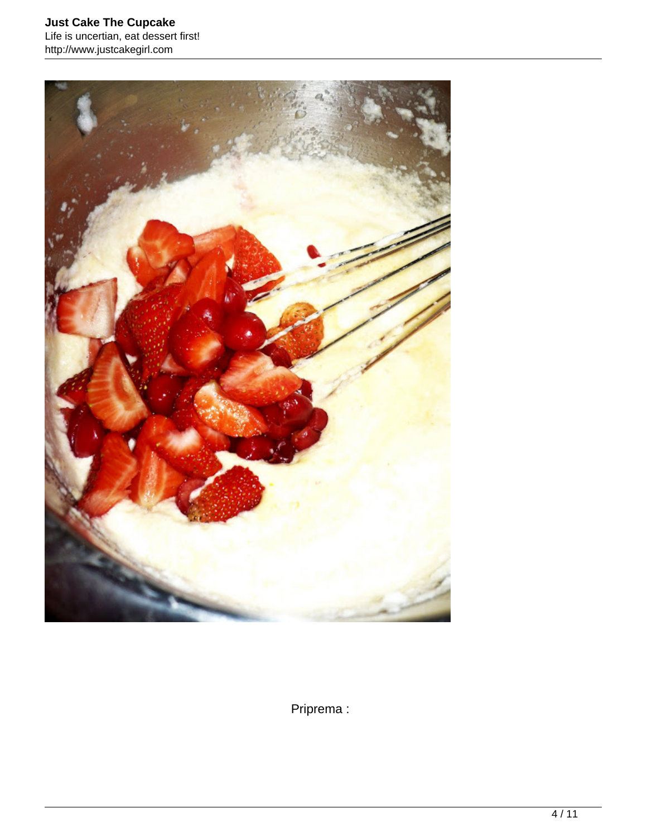

Priprema :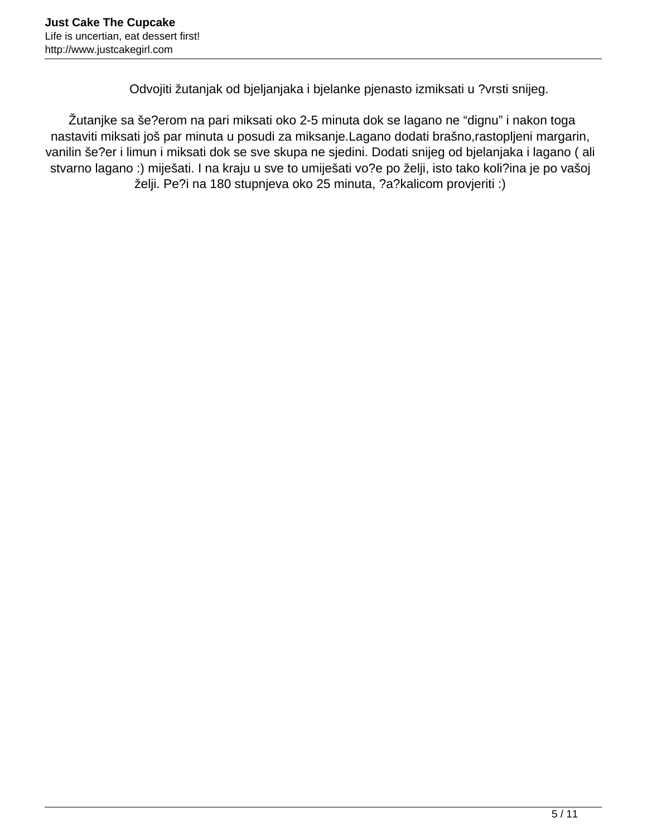Odvojiti žutanjak od bjeljanjaka i bjelanke pjenasto izmiksati u ?vrsti snijeg.

 Žutanjke sa še?erom na pari miksati oko 2-5 minuta dok se lagano ne "dignu" i nakon toga nastaviti miksati još par minuta u posudi za miksanje.Lagano dodati brašno,rastopljeni margarin, vanilin še?er i limun i miksati dok se sve skupa ne sjedini. Dodati snijeg od bjelanjaka i lagano ( ali stvarno lagano :) miješati. I na kraju u sve to umiješati vo?e po želji, isto tako koli?ina je po vašoj želji. Pe?i na 180 stupnjeva oko 25 minuta, ?a?kalicom provjeriti :)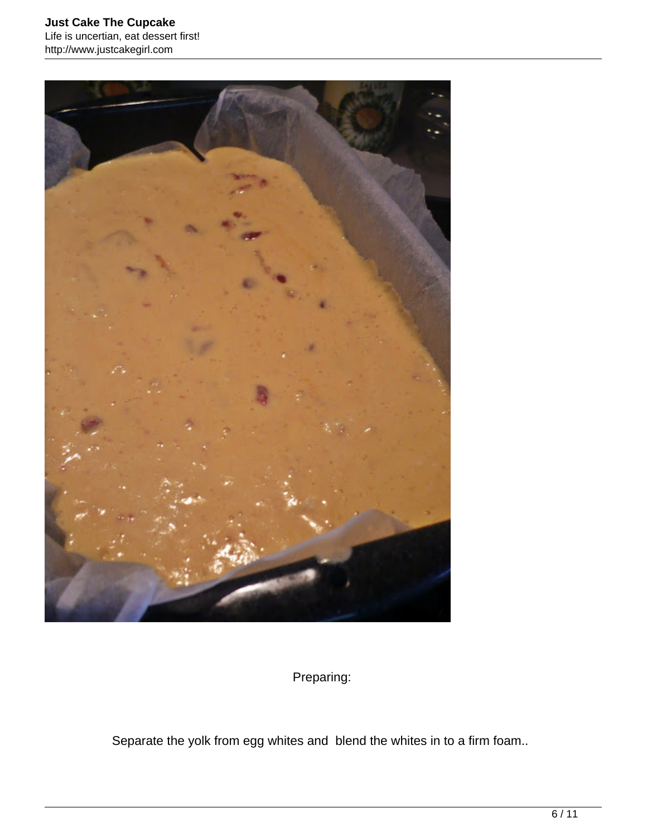

Preparing:

Separate the yolk from egg whites and blend the whites in to a firm foam..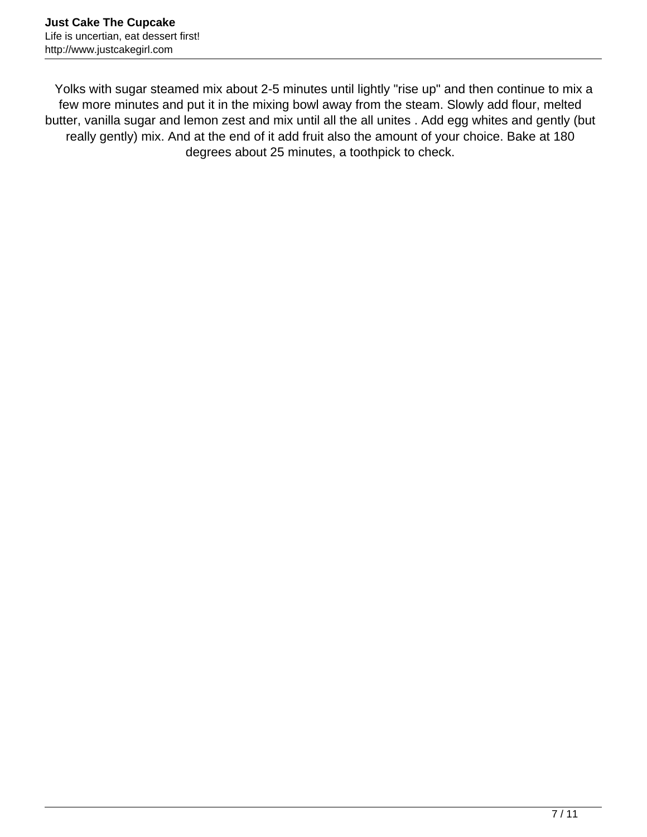Yolks with sugar steamed mix about 2-5 minutes until lightly "rise up" and then continue to mix a few more minutes and put it in the mixing bowl away from the steam. Slowly add flour, melted butter, vanilla sugar and lemon zest and mix until all the all unites . Add egg whites and gently (but really gently) mix. And at the end of it add fruit also the amount of your choice. Bake at 180 degrees about 25 minutes, a toothpick to check.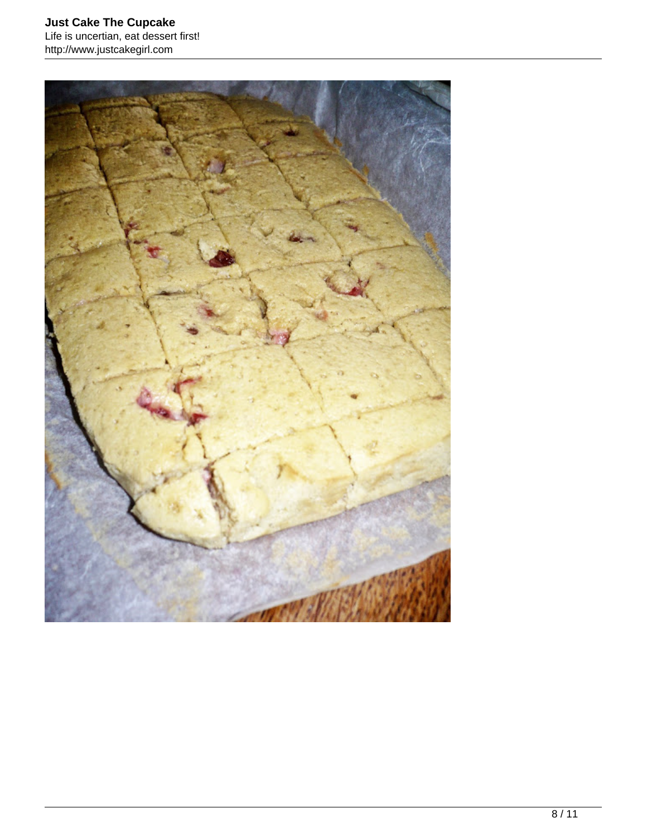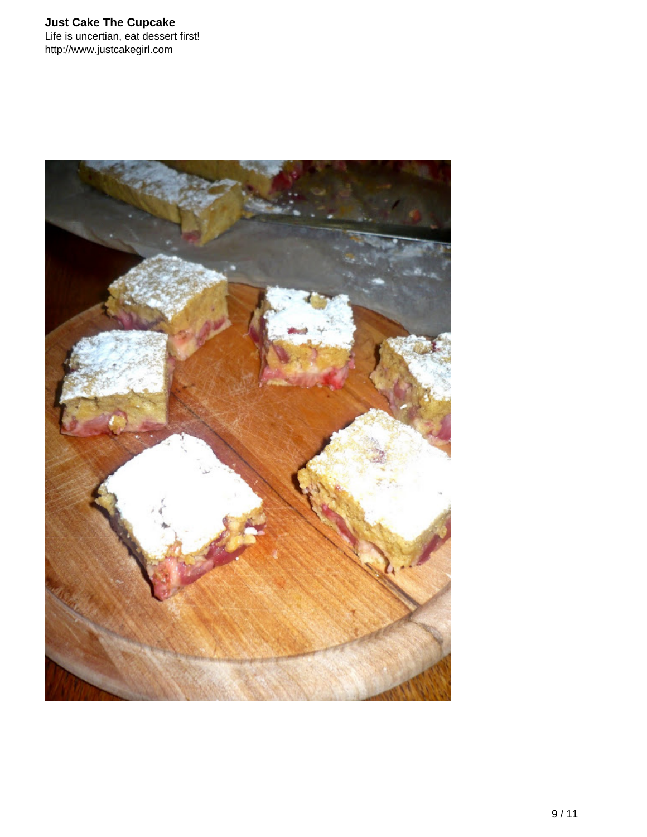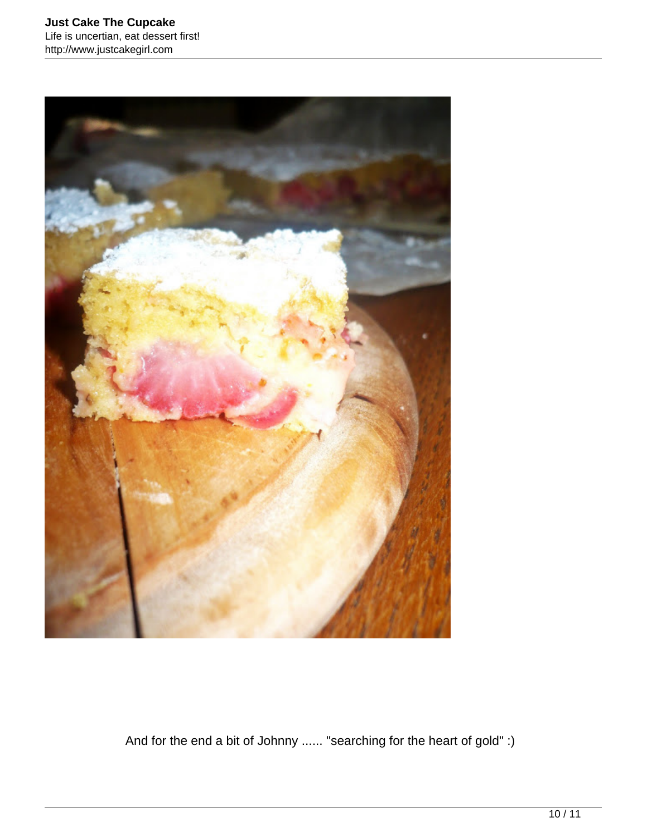

And for the end a bit of Johnny ...... "searching for the heart of gold" :)